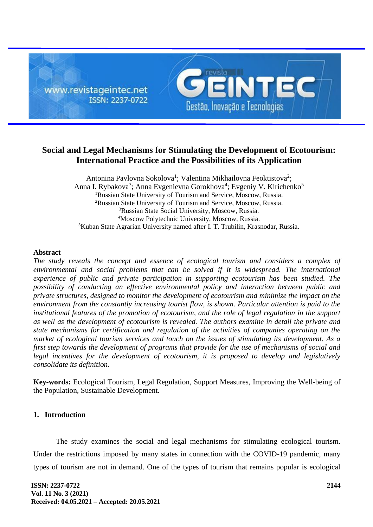

# **Social and Legal Mechanisms for Stimulating the Development of Ecotourism: International Practice and the Possibilities of its Application**

Antonina Pavlovna Sokolova<sup>1</sup>; Valentina Mikhailovna Feoktistova<sup>2</sup>; Anna I. Rybakova<sup>3</sup>; Anna Evgenievna Gorokhova<sup>4</sup>; Evgeniy V. Kirichenko<sup>5</sup> <sup>1</sup>Russian State University of Tourism and Service, Moscow, Russia. <sup>2</sup>Russian State University of Tourism and Service, Moscow, Russia. <sup>3</sup>Russian State Social University, Moscow, Russia. <sup>4</sup>Moscow Polytechnic University, Moscow, Russia. <sup>5</sup>Kuban State Agrarian University named after I. T. Trubilin, Krasnodar, Russia.

#### **Abstract**

*The study reveals the concept and essence of ecological tourism and considers a complex of environmental and social problems that can be solved if it is widespread. The international experience of public and private participation in supporting ecotourism has been studied. The possibility of conducting an effective environmental policy and interaction between public and private structures, designed to monitor the development of ecotourism and minimize the impact on the environment from the constantly increasing tourist flow, is shown. Particular attention is paid to the institutional features of the promotion of ecotourism, and the role of legal regulation in the support as well as the development of ecotourism is revealed. The authors examine in detail the private and state mechanisms for certification and regulation of the activities of companies operating on the market of ecological tourism services and touch on the issues of stimulating its development. As a first step towards the development of programs that provide for the use of mechanisms of social and*  legal incentives for the development of ecotourism, it is proposed to develop and legislatively *consolidate its definition.*

**Key-words:** Ecological Tourism, Legal Regulation, Support Measures, Improving the Well-being of the Population, Sustainable Development.

# **1. Introduction**

The study examines the social and legal mechanisms for stimulating ecological tourism. Under the restrictions imposed by many states in connection with the COVID-19 pandemic, many types of tourism are not in demand. One of the types of tourism that remains popular is ecological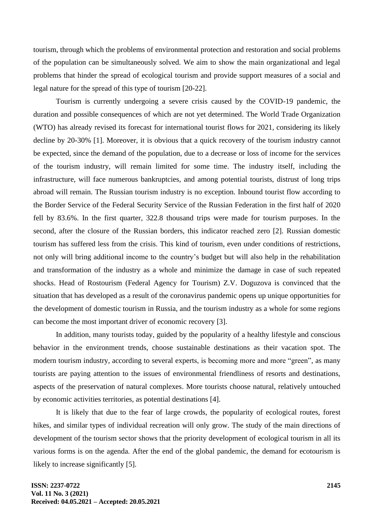tourism, through which the problems of environmental protection and restoration and social problems of the population can be simultaneously solved. We aim to show the main organizational and legal problems that hinder the spread of ecological tourism and provide support measures of a social and legal nature for the spread of this type of tourism [20-22].

Tourism is currently undergoing a severe crisis caused by the COVID-19 pandemic, the duration and possible consequences of which are not yet determined. The World Trade Organization (WTO) has already revised its forecast for international tourist flows for 2021, considering its likely decline by 20-30% [1]. Moreover, it is obvious that a quick recovery of the tourism industry cannot be expected, since the demand of the population, due to a decrease or loss of income for the services of the tourism industry, will remain limited for some time. The industry itself, including the infrastructure, will face numerous bankruptcies, and among potential tourists, distrust of long trips abroad will remain. The Russian tourism industry is no exception. Inbound tourist flow according to the Border Service of the Federal Security Service of the Russian Federation in the first half of 2020 fell by 83.6%. In the first quarter, 322.8 thousand trips were made for tourism purposes. In the second, after the closure of the Russian borders, this indicator reached zero [2]. Russian domestic tourism has suffered less from the crisis. This kind of tourism, even under conditions of restrictions, not only will bring additional income to the country's budget but will also help in the rehabilitation and transformation of the industry as a whole and minimize the damage in case of such repeated shocks. Head of Rostourism (Federal Agency for Tourism) Z.V. Doguzova is convinced that the situation that has developed as a result of the coronavirus pandemic opens up unique opportunities for the development of domestic tourism in Russia, and the tourism industry as a whole for some regions can become the most important driver of economic recovery [3].

In addition, many tourists today, guided by the popularity of a healthy lifestyle and conscious behavior in the environment trends, choose sustainable destinations as their vacation spot. The modern tourism industry, according to several experts, is becoming more and more "green", as many tourists are paying attention to the issues of environmental friendliness of resorts and destinations, aspects of the preservation of natural complexes. More tourists choose natural, relatively untouched by economic activities territories, as potential destinations [4].

It is likely that due to the fear of large crowds, the popularity of ecological routes, forest hikes, and similar types of individual recreation will only grow. The study of the main directions of development of the tourism sector shows that the priority development of ecological tourism in all its various forms is on the agenda. After the end of the global pandemic, the demand for ecotourism is likely to increase significantly [5].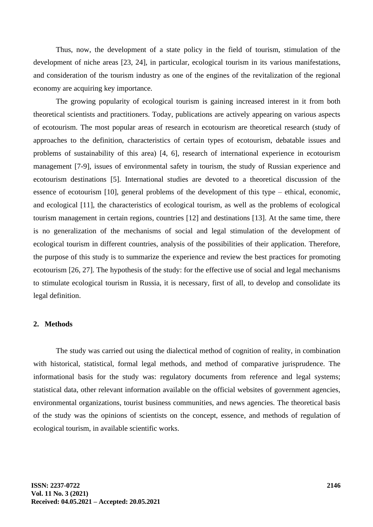Thus, now, the development of a state policy in the field of tourism, stimulation of the development of niche areas [23, 24], in particular, ecological tourism in its various manifestations, and consideration of the tourism industry as one of the engines of the revitalization of the regional economy are acquiring key importance.

The growing popularity of ecological tourism is gaining increased interest in it from both theoretical scientists and practitioners. Today, publications are actively appearing on various aspects of ecotourism. The most popular areas of research in ecotourism are theoretical research (study of approaches to the definition, characteristics of certain types of ecotourism, debatable issues and problems of sustainability of this area) [4, 6], research of international experience in ecotourism management [7-9], issues of environmental safety in tourism, the study of Russian experience and ecotourism destinations [5]. International studies are devoted to a theoretical discussion of the essence of ecotourism [10], general problems of the development of this type – ethical, economic, and ecological [11], the characteristics of ecological tourism, as well as the problems of ecological tourism management in certain regions, countries [12] and destinations [13]. At the same time, there is no generalization of the mechanisms of social and legal stimulation of the development of ecological tourism in different countries, analysis of the possibilities of their application. Therefore, the purpose of this study is to summarize the experience and review the best practices for promoting ecotourism [26, 27]. The hypothesis of the study: for the effective use of social and legal mechanisms to stimulate ecological tourism in Russia, it is necessary, first of all, to develop and consolidate its legal definition.

#### **2. Methods**

The study was carried out using the dialectical method of cognition of reality, in combination with historical, statistical, formal legal methods, and method of comparative jurisprudence. The informational basis for the study was: regulatory documents from reference and legal systems; statistical data, other relevant information available on the official websites of government agencies, environmental organizations, tourist business communities, and news agencies. The theoretical basis of the study was the opinions of scientists on the concept, essence, and methods of regulation of ecological tourism, in available scientific works.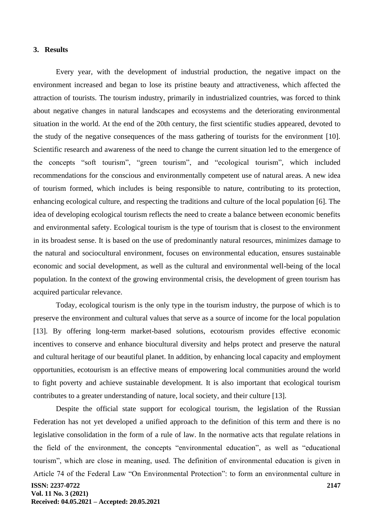#### **3. Results**

Every year, with the development of industrial production, the negative impact on the environment increased and began to lose its pristine beauty and attractiveness, which affected the attraction of tourists. The tourism industry, primarily in industrialized countries, was forced to think about negative changes in natural landscapes and ecosystems and the deteriorating environmental situation in the world. At the end of the 20th century, the first scientific studies appeared, devoted to the study of the negative consequences of the mass gathering of tourists for the environment [10]. Scientific research and awareness of the need to change the current situation led to the emergence of the concepts "soft tourism", "green tourism", and "ecological tourism", which included recommendations for the conscious and environmentally competent use of natural areas. A new idea of tourism formed, which includes is being responsible to nature, contributing to its protection, enhancing ecological culture, and respecting the traditions and culture of the local population [6]. The idea of developing ecological tourism reflects the need to create a balance between economic benefits and environmental safety. Ecological tourism is the type of tourism that is closest to the environment in its broadest sense. It is based on the use of predominantly natural resources, minimizes damage to the natural and sociocultural environment, focuses on environmental education, ensures sustainable economic and social development, as well as the cultural and environmental well-being of the local population. In the context of the growing environmental crisis, the development of green tourism has acquired particular relevance.

Today, ecological tourism is the only type in the tourism industry, the purpose of which is to preserve the environment and cultural values that serve as a source of income for the local population [13]. By offering long-term market-based solutions, ecotourism provides effective economic incentives to conserve and enhance biocultural diversity and helps protect and preserve the natural and cultural heritage of our beautiful planet. In addition, by enhancing local capacity and employment opportunities, ecotourism is an effective means of empowering local communities around the world to fight poverty and achieve sustainable development. It is also important that ecological tourism contributes to a greater understanding of nature, local society, and their culture [13].

**ISSN: 2237-0722 2147** Despite the official state support for ecological tourism, the legislation of the Russian Federation has not yet developed a unified approach to the definition of this term and there is no legislative consolidation in the form of a rule of law. In the normative acts that regulate relations in the field of the environment, the concepts "environmental education", as well as "educational tourism", which are close in meaning, used. The definition of environmental education is given in Article 74 of the Federal Law "On Environmental Protection": to form an environmental culture in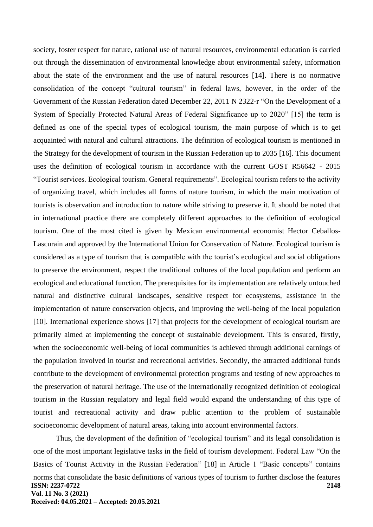society, foster respect for nature, rational use of natural resources, environmental education is carried out through the dissemination of environmental knowledge about environmental safety, information about the state of the environment and the use of natural resources [14]. There is no normative consolidation of the concept "cultural tourism" in federal laws, however, in the order of the Government of the Russian Federation dated December 22, 2011 N 2322-r "On the Development of a System of Specially Protected Natural Areas of Federal Significance up to 2020" [15] the term is defined as one of the special types of ecological tourism, the main purpose of which is to get acquainted with natural and cultural attractions. The definition of ecological tourism is mentioned in the Strategy for the development of tourism in the Russian Federation up to 2035 [16]. This document uses the definition of ecological tourism in accordance with the current GOST R56642 - 2015 "Tourist services. Ecological tourism. General requirements". Ecological tourism refers to the activity of organizing travel, which includes all forms of nature tourism, in which the main motivation of tourists is observation and introduction to nature while striving to preserve it. It should be noted that in international practice there are completely different approaches to the definition of ecological tourism. One of the most cited is given by Mexican environmental economist Hector Ceballos-Lascurain and approved by the International Union for Conservation of Nature. Ecological tourism is considered as a type of tourism that is compatible with the tourist's ecological and social obligations to preserve the environment, respect the traditional cultures of the local population and perform an ecological and educational function. The prerequisites for its implementation are relatively untouched natural and distinctive cultural landscapes, sensitive respect for ecosystems, assistance in the implementation of nature conservation objects, and improving the well-being of the local population [10]. International experience shows [17] that projects for the development of ecological tourism are primarily aimed at implementing the concept of sustainable development. This is ensured, firstly, when the socioeconomic well-being of local communities is achieved through additional earnings of the population involved in tourist and recreational activities. Secondly, the attracted additional funds contribute to the development of environmental protection programs and testing of new approaches to the preservation of natural heritage. The use of the internationally recognized definition of ecological tourism in the Russian regulatory and legal field would expand the understanding of this type of tourist and recreational activity and draw public attention to the problem of sustainable socioeconomic development of natural areas, taking into account environmental factors.

**ISSN: 2237-0722 Vol. 11 No. 3 (2021) Received: 04.05.2021 – Accepted: 20.05.2021 2148** Thus, the development of the definition of "ecological tourism" and its legal consolidation is one of the most important legislative tasks in the field of tourism development. Federal Law "On the Basics of Tourist Activity in the Russian Federation" [18] in Article 1 "Basic concepts" contains norms that consolidate the basic definitions of various types of tourism to further disclose the features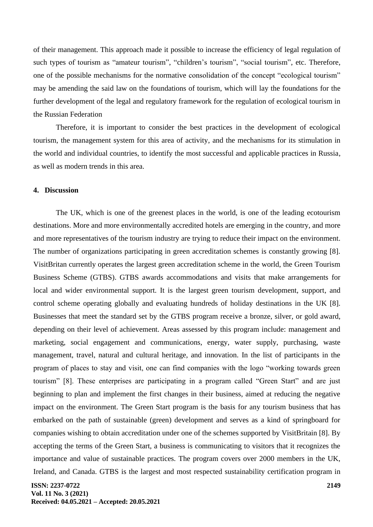of their management. This approach made it possible to increase the efficiency of legal regulation of such types of tourism as "amateur tourism", "children's tourism", "social tourism", etc. Therefore, one of the possible mechanisms for the normative consolidation of the concept "ecological tourism" may be amending the said law on the foundations of tourism, which will lay the foundations for the further development of the legal and regulatory framework for the regulation of ecological tourism in the Russian Federation

Therefore, it is important to consider the best practices in the development of ecological tourism, the management system for this area of activity, and the mechanisms for its stimulation in the world and individual countries, to identify the most successful and applicable practices in Russia, as well as modern trends in this area.

# **4. Discussion**

The UK, which is one of the greenest places in the world, is one of the leading ecotourism destinations. More and more environmentally accredited hotels are emerging in the country, and more and more representatives of the tourism industry are trying to reduce their impact on the environment. The number of organizations participating in green accreditation schemes is constantly growing [8]. VisitBritan currently operates the largest green accreditation scheme in the world, the Green Tourism Business Scheme (GTBS). GTBS awards accommodations and visits that make arrangements for local and wider environmental support. It is the largest green tourism development, support, and control scheme operating globally and evaluating hundreds of holiday destinations in the UK [8]. Businesses that meet the standard set by the GTBS program receive a bronze, silver, or gold award, depending on their level of achievement. Areas assessed by this program include: management and marketing, social engagement and communications, energy, water supply, purchasing, waste management, travel, natural and cultural heritage, and innovation. In the list of participants in the program of places to stay and visit, one can find companies with the logo "working towards green tourism" [8]. These enterprises are participating in a program called "Green Start" and are just beginning to plan and implement the first changes in their business, aimed at reducing the negative impact on the environment. The Green Start program is the basis for any tourism business that has embarked on the path of sustainable (green) development and serves as a kind of springboard for companies wishing to obtain accreditation under one of the schemes supported by VisitBritain [8]. By accepting the terms of the Green Start, a business is communicating to visitors that it recognizes the importance and value of sustainable practices. The program covers over 2000 members in the UK, Ireland, and Canada. GTBS is the largest and most respected sustainability certification program in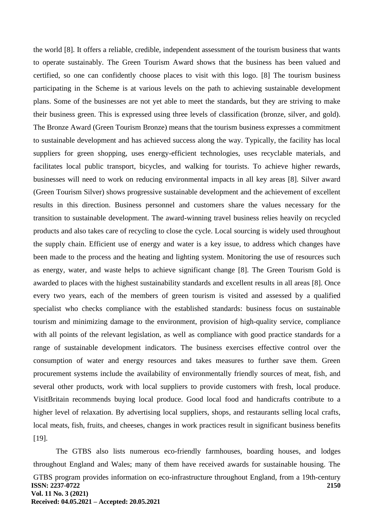the world [8]. It offers a reliable, credible, independent assessment of the tourism business that wants to operate sustainably. The Green Tourism Award shows that the business has been valued and certified, so one can confidently choose places to visit with this logo. [8] The tourism business participating in the Scheme is at various levels on the path to achieving sustainable development plans. Some of the businesses are not yet able to meet the standards, but they are striving to make their business green. This is expressed using three levels of classification (bronze, silver, and gold). The Bronze Award (Green Tourism Bronze) means that the tourism business expresses a commitment to sustainable development and has achieved success along the way. Typically, the facility has local suppliers for green shopping, uses energy-efficient technologies, uses recyclable materials, and facilitates local public transport, bicycles, and walking for tourists. To achieve higher rewards, businesses will need to work on reducing environmental impacts in all key areas [8]. Silver award (Green Tourism Silver) shows progressive sustainable development and the achievement of excellent results in this direction. Business personnel and customers share the values necessary for the transition to sustainable development. The award-winning travel business relies heavily on recycled products and also takes care of recycling to close the cycle. Local sourcing is widely used throughout the supply chain. Efficient use of energy and water is a key issue, to address which changes have been made to the process and the heating and lighting system. Monitoring the use of resources such as energy, water, and waste helps to achieve significant change [8]. The Green Tourism Gold is awarded to places with the highest sustainability standards and excellent results in all areas [8]. Once every two years, each of the members of green tourism is visited and assessed by a qualified specialist who checks compliance with the established standards: business focus on sustainable tourism and minimizing damage to the environment, provision of high-quality service, compliance with all points of the relevant legislation, as well as compliance with good practice standards for a range of sustainable development indicators. The business exercises effective control over the consumption of water and energy resources and takes measures to further save them. Green procurement systems include the availability of environmentally friendly sources of meat, fish, and several other products, work with local suppliers to provide customers with fresh, local produce. VisitBritain recommends buying local produce. Good local food and handicrafts contribute to a higher level of relaxation. By advertising local suppliers, shops, and restaurants selling local crafts, local meats, fish, fruits, and cheeses, changes in work practices result in significant business benefits [19].

**ISSN: 2237-0722 Vol. 11 No. 3 (2021) Received: 04.05.2021 – Accepted: 20.05.2021 2150** The GTBS also lists numerous eco-friendly farmhouses, boarding houses, and lodges throughout England and Wales; many of them have received awards for sustainable housing. The GTBS program provides information on eco-infrastructure throughout England, from a 19th-century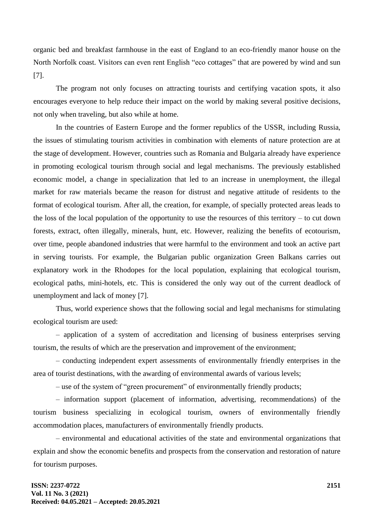organic bed and breakfast farmhouse in the east of England to an eco-friendly manor house on the North Norfolk coast. Visitors can even rent English "eco cottages" that are powered by wind and sun [7].

The program not only focuses on attracting tourists and certifying vacation spots, it also encourages everyone to help reduce their impact on the world by making several positive decisions, not only when traveling, but also while at home.

In the countries of Eastern Europe and the former republics of the USSR, including Russia, the issues of stimulating tourism activities in combination with elements of nature protection are at the stage of development. However, countries such as Romania and Bulgaria already have experience in promoting ecological tourism through social and legal mechanisms. The previously established economic model, a change in specialization that led to an increase in unemployment, the illegal market for raw materials became the reason for distrust and negative attitude of residents to the format of ecological tourism. After all, the creation, for example, of specially protected areas leads to the loss of the local population of the opportunity to use the resources of this territory – to cut down forests, extract, often illegally, minerals, hunt, etc. However, realizing the benefits of ecotourism, over time, people abandoned industries that were harmful to the environment and took an active part in serving tourists. For example, the Bulgarian public organization Green Balkans carries out explanatory work in the Rhodopes for the local population, explaining that ecological tourism, ecological paths, mini-hotels, etc. This is considered the only way out of the current deadlock of unemployment and lack of money [7].

Thus, world experience shows that the following social and legal mechanisms for stimulating ecological tourism are used:

– application of a system of accreditation and licensing of business enterprises serving tourism, the results of which are the preservation and improvement of the environment;

– conducting independent expert assessments of environmentally friendly enterprises in the area of tourist destinations, with the awarding of environmental awards of various levels;

– use of the system of "green procurement" of environmentally friendly products;

– information support (placement of information, advertising, recommendations) of the tourism business specializing in ecological tourism, owners of environmentally friendly accommodation places, manufacturers of environmentally friendly products.

– environmental and educational activities of the state and environmental organizations that explain and show the economic benefits and prospects from the conservation and restoration of nature for tourism purposes.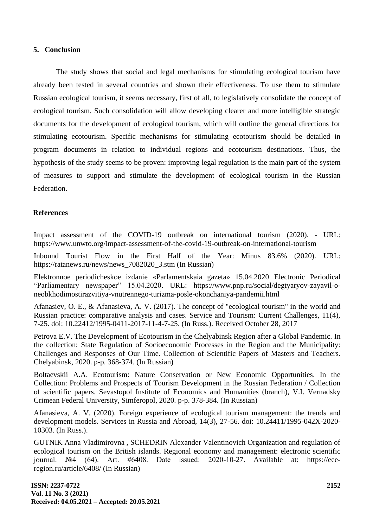## **5. Conclusion**

The study shows that social and legal mechanisms for stimulating ecological tourism have already been tested in several countries and shown their effectiveness. To use them to stimulate Russian ecological tourism, it seems necessary, first of all, to legislatively consolidate the concept of ecological tourism. Such consolidation will allow developing clearer and more intelligible strategic documents for the development of ecological tourism, which will outline the general directions for stimulating ecotourism. Specific mechanisms for stimulating ecotourism should be detailed in program documents in relation to individual regions and ecotourism destinations. Thus, the hypothesis of the study seems to be proven: improving legal regulation is the main part of the system of measures to support and stimulate the development of ecological tourism in the Russian Federation.

## **References**

Impact assessment of the COVID-19 outbreak on international tourism (2020). - URL: https://www.unwto.org/impact-assessment-of-the-covid-19-outbreak-on-international-tourism

Inbound Tourist Flow in the First Half of the Year: Minus 83.6% (2020). URL: [https://ratanews.ru/news/news\\_7082020\\_3.stm](https://ratanews.ru/news/news_7082020_3.stm) (In Russian)

Elektronnoe periodicheskoe izdanie «Parlamentskaia gazeta» 15.04.2020 Electronic Periodical "Parliamentary newspaper" 15.04.2020. URL: [https://www.pnp.ru/social/degtyaryov-zayavil-o](https://www.pnp.ru/social/degtyaryov-zayavil-o-neobkhodimostirazvitiya-vnutrennego-turizma-posle-okonchaniya-pandemii.html)[neobkhodimostirazvitiya-vnutrennego-turizma-posle-okonchaniya-pandemii.html](https://www.pnp.ru/social/degtyaryov-zayavil-o-neobkhodimostirazvitiya-vnutrennego-turizma-posle-okonchaniya-pandemii.html)

Afanasiev, O. E., & Afanasieva, A. V. (2017). The concept of "ecological tourism" in the world and Russian practice: comparative analysis and cases. Service and Tourism: Current Challenges, 11(4), 7-25. doi: 10.22412/1995-0411-2017-11-4-7-25. (In Russ.). Received October 28, 2017

Petrova E.V. The Development of Ecotourism in the Chelyabinsk Region after a Global Pandemic. In the collection: State Regulation of Socioeconomic Processes in the Region and the Municipality: Challenges and Responses of Our Time. Collection of Scientific Papers of Masters and Teachers. Chelyabinsk, 2020. p-p. 368-374. (In Russian)

Boltaevskii A.A. Ecotourism: Nature Conservation or New Economic Opportunities. In the Collection: Problems and Prospects of Tourism Development in the Russian Federation / Collection of scientific papers. Sevastopol Institute of Economics and Humanities (branch), V.I. Vernadsky Crimean Federal University, Simferopol, 2020. p-p. 378-384. (In Russian)

Afanasieva, A. V. (2020). Foreign experience of ecological tourism management: the trends and development models. Services in Russia and Abroad, 14(3), 27-56. doi: 10.24411/1995-042X-2020- 10303. (In Russ.).

GUTNIK Anna Vladimirovna , SCHEDRIN Alexander Valentinovich Organization and regulation of ecological tourism on the British islands. Regional economy and management: electronic scientific journal. №4 (64). Art. #6408. Date issued: 2020-10-27. Available at: https://eeeregion.ru/article/6408/ (In Russian)